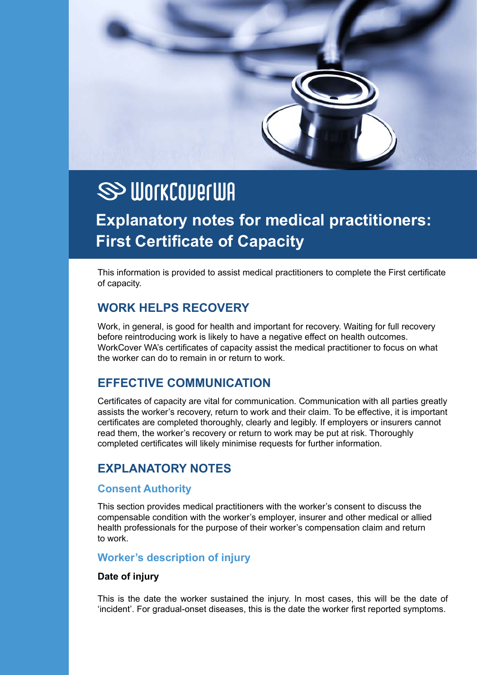

# **SS WORKCOVERWA**

# **Explanatory notes for medical practitioners: First Certificate of Capacity**

This information is provided to assist medical practitioners to complete the First certificate of capacity.

# **WORK HELPS RECOVERY**

Work, in general, is good for health and important for recovery. Waiting for full recovery before reintroducing work is likely to have a negative effect on health outcomes. WorkCover WA's certificates of capacity assist the medical practitioner to focus on what the worker can do to remain in or return to work.

# **EFFECTIVE COMMUNICATION**

Certificates of capacity are vital for communication. Communication with all parties greatly assists the worker's recovery, return to work and their claim. To be effective, it is important certificates are completed thoroughly, clearly and legibly. If employers or insurers cannot read them, the worker's recovery or return to work may be put at risk. Thoroughly completed certificates will likely minimise requests for further information.

# **EXPLANATORY NOTES**

#### **Consent Authority**

This section provides medical practitioners with the worker's consent to discuss the compensable condition with the worker's employer, insurer and other medical or allied health professionals for the purpose of their worker's compensation claim and return to work.

# **Worker's description of injury**

#### **Date of injury**

This is the date the worker sustained the injury. In most cases, this will be the date of 'incident'. For gradual-onset diseases, this is the date the worker first reported symptoms.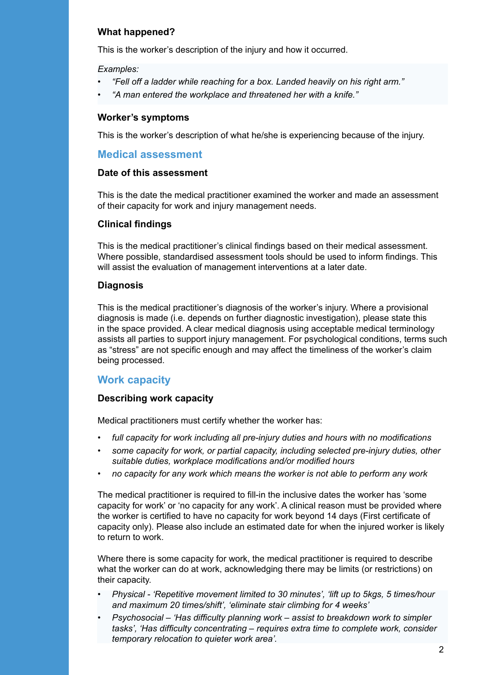#### **What happened?**

This is the worker's description of the injury and how it occurred.

*Examples:* 

- *• "Fell off a ladder while reaching for a box. Landed heavily on his right arm."*
- *• "A man entered the workplace and threatened her with a knife."*

#### **Worker's symptoms**

This is the worker's description of what he/she is experiencing because of the injury.

#### **Medical assessment**

#### **Date of this assessment**

This is the date the medical practitioner examined the worker and made an assessment of their capacity for work and injury management needs.

#### **Clinical findings**

This is the medical practitioner's clinical findings based on their medical assessment. Where possible, standardised assessment tools should be used to inform findings. This will assist the evaluation of management interventions at a later date.

#### **Diagnosis**

This is the medical practitioner's diagnosis of the worker's injury. Where a provisional diagnosis is made (i.e. depends on further diagnostic investigation), please state this in the space provided. A clear medical diagnosis using acceptable medical terminology assists all parties to support injury management. For psychological conditions, terms such as "stress" are not specific enough and may affect the timeliness of the worker's claim being processed.

#### **Work capacity**

#### **Describing work capacity**

Medical practitioners must certify whether the worker has:

- full capacity for work including all pre-injury duties and hours with no modifications
- some capacity for work, or partial capacity, including selected pre-injury duties, other suitable duties, workplace modifications and/or modified hours
- *• no capacity for any work which means the worker is not able to perform any work*

The medical practitioner is required to fill-in the inclusive dates the worker has 'some capacity for work' or 'no capacity for any work'. A clinical reason must be provided where the worker is certified to have no capacity for work beyond 14 days (First certificate of capacity only). Please also include an estimated date for when the injured worker is likely to return to work.

Where there is some capacity for work, the medical practitioner is required to describe what the worker can do at work, acknowledging there may be limits (or restrictions) on their capacity.

- *Physical* 'Repetitive movement limited to 30 minutes', 'lift up to 5kgs, 5 times/hour and maximum 20 times/shift', 'eliminate stair climbing for 4 weeks'
- *Psychosocial* 'Has difficulty planning work assist to breakdown work to simpler tasks', 'Has difficulty concentrating – requires extra time to complete work, consider *temporary relocation to quieter work area'.*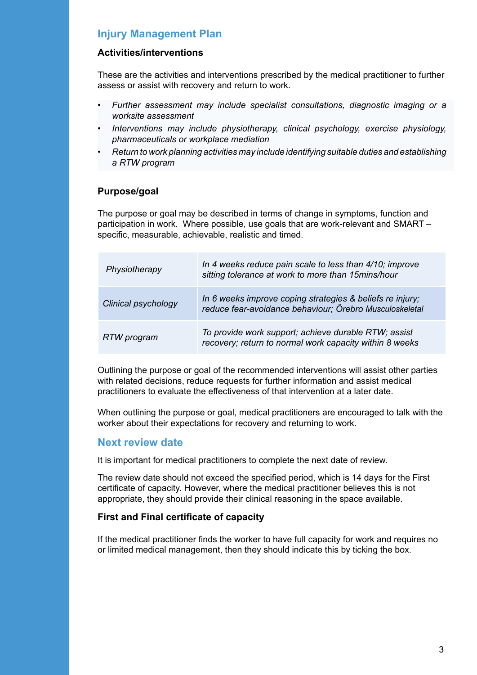# **Injury Management Plan**

#### **Activities/interventions**

These are the activities and interventions prescribed by the medical practitioner to further assess or assist with recovery and return to work.

- *• Further assessment may include specialist consultations, diagnostic imaging or a worksite assessment*
- *Interventions may include physiotherapy, clinical psychology, exercise physiology, pharmaceuticals or workplace mediation*
- *• Return to work planning activities may include identifying suitable duties and establishing a RTW program*

#### **Purpose/goal**

The purpose or goal may be described in terms of change in symptoms, function and participation in work. Where possible, use goals that are work-relevant and SMART – specific, measurable, achievable, realistic and timed.

| Physiotherapy       | In 4 weeks reduce pain scale to less than 4/10; improve<br>sitting tolerance at work to more than 15mins/hour        |
|---------------------|----------------------------------------------------------------------------------------------------------------------|
| Clinical psychology | In 6 weeks improve coping strategies & beliefs re injury;<br>reduce fear-avoidance behaviour; Örebro Musculoskeletal |
| RTW program         | To provide work support; achieve durable RTW; assist<br>recovery; return to normal work capacity within 8 weeks      |

Outlining the purpose or goal of the recommended interventions will assist other parties with related decisions, reduce requests for further information and assist medical practitioners to evaluate the effectiveness of that intervention at a later date.

When outlining the purpose or goal, medical practitioners are encouraged to talk with the worker about their expectations for recovery and returning to work.

# **Next review date**

It is important for medical practitioners to complete the next date of review.

The review date should not exceed the specified period, which is 14 days for the First certificate of capacity. However, where the medical practitioner believes this is not appropriate, they should provide their clinical reasoning in the space available.

#### **First and Final certificate of capacity**

If the medical practitioner finds the worker to have full capacity for work and requires no or limited medical management, then they should indicate this by ticking the box.